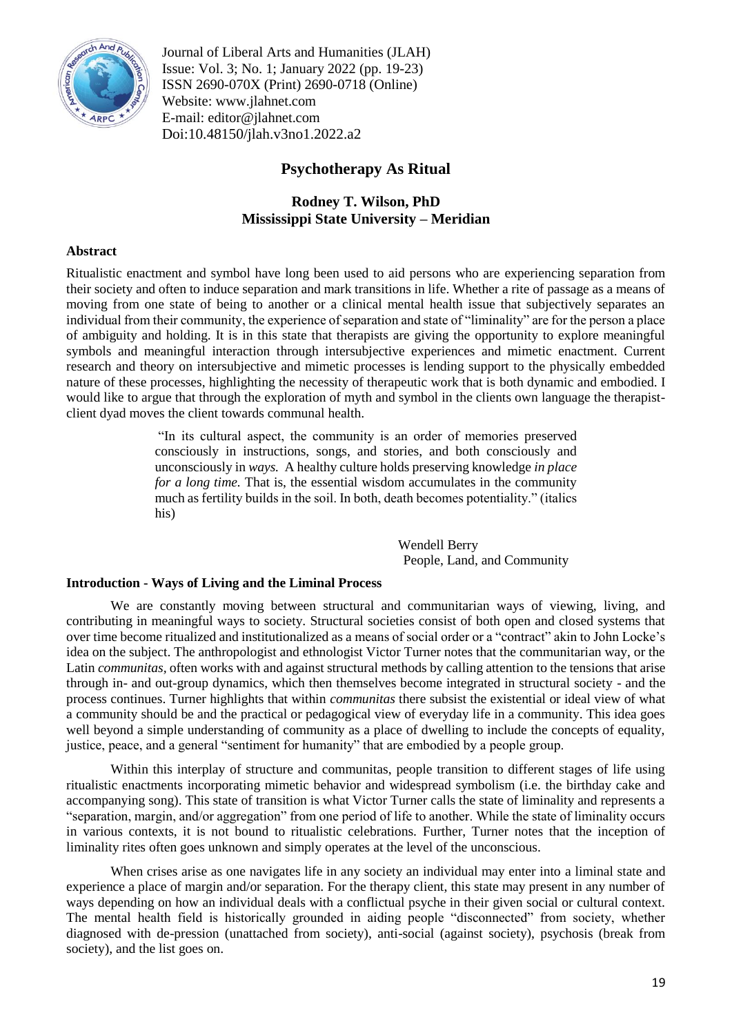

Journal of Liberal Arts and Humanities (JLAH) Issue: Vol. 3; No. 1; January 2022 (pp. 19-23) ISSN 2690-070X (Print) 2690-0718 (Online) Website: www.jlahnet.com E-mail: editor@jlahnet.com Doi:10.48150/jlah.v3no1.2022.a2

# **Psychotherapy As Ritual**

# **Rodney T. Wilson, PhD Mississippi State University – Meridian**

### **Abstract**

Ritualistic enactment and symbol have long been used to aid persons who are experiencing separation from their society and often to induce separation and mark transitions in life. Whether a rite of passage as a means of moving from one state of being to another or a clinical mental health issue that subjectively separates an individual from their community, the experience of separation and state of "liminality" are for the person a place of ambiguity and holding. It is in this state that therapists are giving the opportunity to explore meaningful symbols and meaningful interaction through intersubjective experiences and mimetic enactment. Current research and theory on intersubjective and mimetic processes is lending support to the physically embedded nature of these processes, highlighting the necessity of therapeutic work that is both dynamic and embodied. I would like to argue that through the exploration of myth and symbol in the clients own language the therapistclient dyad moves the client towards communal health.

> "In its cultural aspect, the community is an order of memories preserved consciously in instructions, songs, and stories, and both consciously and unconsciously in *ways.* A healthy culture holds preserving knowledge *in place for a long time.* That is, the essential wisdom accumulates in the community much as fertility builds in the soil. In both, death becomes potentiality." (italics his)

> > Wendell Berry People, Land, and Community

### **Introduction - Ways of Living and the Liminal Process**

We are constantly moving between structural and communitarian ways of viewing, living, and contributing in meaningful ways to society. Structural societies consist of both open and closed systems that over time become ritualized and institutionalized as a means of social order or a "contract" akin to John Locke's idea on the subject. The anthropologist and ethnologist Victor Turner notes that the communitarian way, or the Latin *communitas,* often works with and against structural methods by calling attention to the tensions that arise through in- and out-group dynamics, which then themselves become integrated in structural society - and the process continues. Turner highlights that within *communitas* there subsist the existential or ideal view of what a community should be and the practical or pedagogical view of everyday life in a community. This idea goes well beyond a simple understanding of community as a place of dwelling to include the concepts of equality, justice, peace, and a general "sentiment for humanity" that are embodied by a people group.

Within this interplay of structure and communitas, people transition to different stages of life using ritualistic enactments incorporating mimetic behavior and widespread symbolism (i.e. the birthday cake and accompanying song). This state of transition is what Victor Turner calls the state of liminality and represents a "separation, margin, and/or aggregation" from one period of life to another. While the state of liminality occurs in various contexts, it is not bound to ritualistic celebrations. Further, Turner notes that the inception of liminality rites often goes unknown and simply operates at the level of the unconscious.

When crises arise as one navigates life in any society an individual may enter into a liminal state and experience a place of margin and/or separation. For the therapy client, this state may present in any number of ways depending on how an individual deals with a conflictual psyche in their given social or cultural context. The mental health field is historically grounded in aiding people "disconnected" from society, whether diagnosed with de-pression (unattached from society), anti-social (against society), psychosis (break from society), and the list goes on.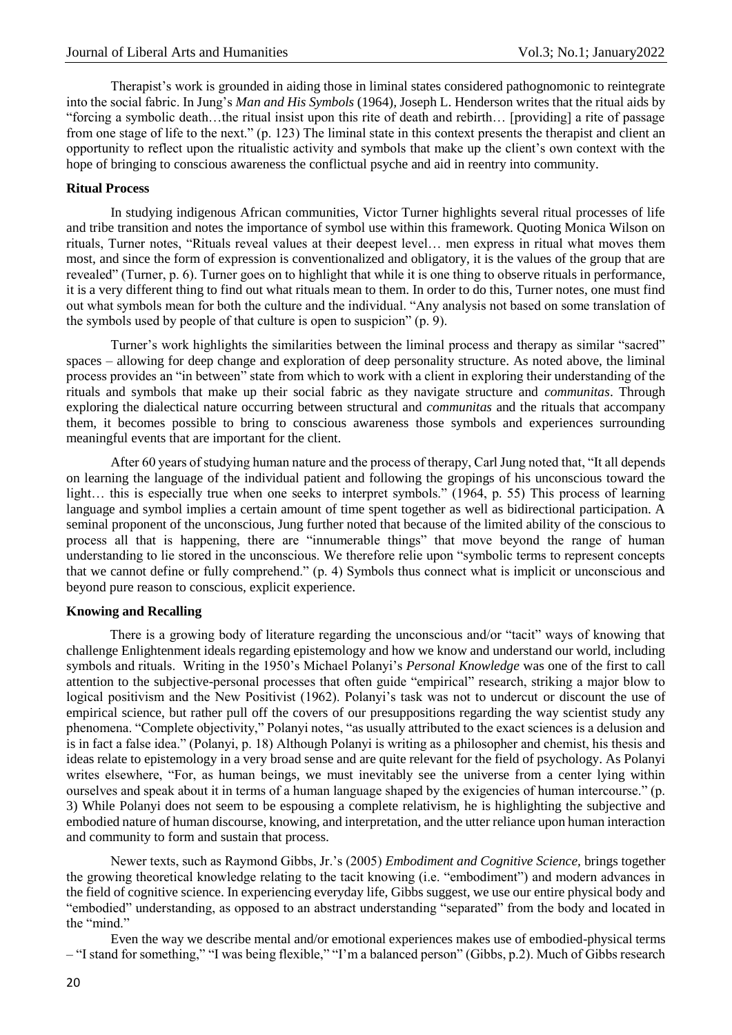Therapist's work is grounded in aiding those in liminal states considered pathognomonic to reintegrate into the social fabric. In Jung's *Man and His Symbols* (1964)*,* Joseph L. Henderson writes that the ritual aids by "forcing a symbolic death…the ritual insist upon this rite of death and rebirth… [providing] a rite of passage from one stage of life to the next." (p. 123) The liminal state in this context presents the therapist and client an opportunity to reflect upon the ritualistic activity and symbols that make up the client's own context with the hope of bringing to conscious awareness the conflictual psyche and aid in reentry into community.

#### **Ritual Process**

In studying indigenous African communities, Victor Turner highlights several ritual processes of life and tribe transition and notes the importance of symbol use within this framework. Quoting Monica Wilson on rituals, Turner notes, "Rituals reveal values at their deepest level… men express in ritual what moves them most, and since the form of expression is conventionalized and obligatory, it is the values of the group that are revealed" (Turner, p. 6). Turner goes on to highlight that while it is one thing to observe rituals in performance, it is a very different thing to find out what rituals mean to them. In order to do this, Turner notes, one must find out what symbols mean for both the culture and the individual. "Any analysis not based on some translation of the symbols used by people of that culture is open to suspicion" (p. 9).

Turner's work highlights the similarities between the liminal process and therapy as similar "sacred" spaces – allowing for deep change and exploration of deep personality structure. As noted above, the liminal process provides an "in between" state from which to work with a client in exploring their understanding of the rituals and symbols that make up their social fabric as they navigate structure and *communitas*. Through exploring the dialectical nature occurring between structural and *communitas* and the rituals that accompany them, it becomes possible to bring to conscious awareness those symbols and experiences surrounding meaningful events that are important for the client.

After 60 years of studying human nature and the process of therapy, Carl Jung noted that, "It all depends on learning the language of the individual patient and following the gropings of his unconscious toward the light… this is especially true when one seeks to interpret symbols." (1964, p. 55) This process of learning language and symbol implies a certain amount of time spent together as well as bidirectional participation. A seminal proponent of the unconscious, Jung further noted that because of the limited ability of the conscious to process all that is happening, there are "innumerable things" that move beyond the range of human understanding to lie stored in the unconscious. We therefore relie upon "symbolic terms to represent concepts that we cannot define or fully comprehend." (p. 4) Symbols thus connect what is implicit or unconscious and beyond pure reason to conscious, explicit experience.

### **Knowing and Recalling**

There is a growing body of literature regarding the unconscious and/or "tacit" ways of knowing that challenge Enlightenment ideals regarding epistemology and how we know and understand our world, including symbols and rituals. Writing in the 1950's Michael Polanyi's *Personal Knowledge* was one of the first to call attention to the subjective-personal processes that often guide "empirical" research, striking a major blow to logical positivism and the New Positivist (1962). Polanyi's task was not to undercut or discount the use of empirical science, but rather pull off the covers of our presuppositions regarding the way scientist study any phenomena. "Complete objectivity," Polanyi notes, "as usually attributed to the exact sciences is a delusion and is in fact a false idea." (Polanyi, p. 18) Although Polanyi is writing as a philosopher and chemist, his thesis and ideas relate to epistemology in a very broad sense and are quite relevant for the field of psychology. As Polanyi writes elsewhere, "For, as human beings, we must inevitably see the universe from a center lying within ourselves and speak about it in terms of a human language shaped by the exigencies of human intercourse." (p. 3) While Polanyi does not seem to be espousing a complete relativism, he is highlighting the subjective and embodied nature of human discourse, knowing, and interpretation, and the utter reliance upon human interaction and community to form and sustain that process.

Newer texts, such as Raymond Gibbs, Jr.'s (2005) *Embodiment and Cognitive Science,* brings together the growing theoretical knowledge relating to the tacit knowing (i.e. "embodiment") and modern advances in the field of cognitive science. In experiencing everyday life, Gibbs suggest, we use our entire physical body and "embodied" understanding, as opposed to an abstract understanding "separated" from the body and located in the "mind."

Even the way we describe mental and/or emotional experiences makes use of embodied-physical terms – "I stand for something," "I was being flexible," "I'm a balanced person" (Gibbs, p.2). Much of Gibbs research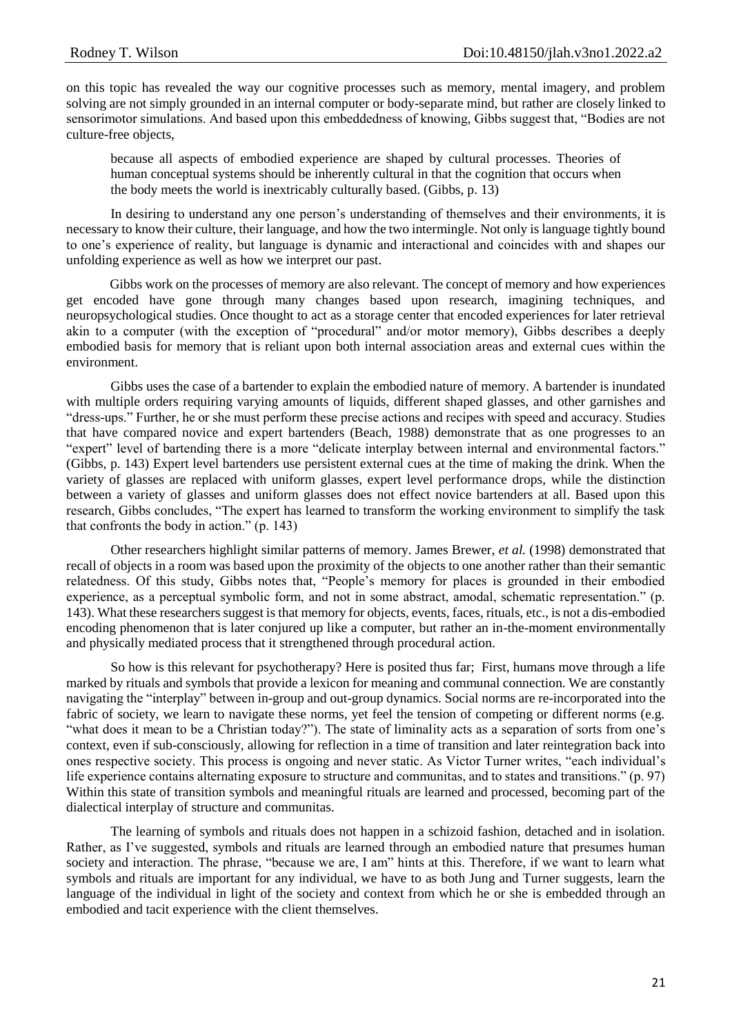on this topic has revealed the way our cognitive processes such as memory, mental imagery, and problem solving are not simply grounded in an internal computer or body-separate mind, but rather are closely linked to sensorimotor simulations. And based upon this embeddedness of knowing, Gibbs suggest that, "Bodies are not culture-free objects,

because all aspects of embodied experience are shaped by cultural processes. Theories of human conceptual systems should be inherently cultural in that the cognition that occurs when the body meets the world is inextricably culturally based. (Gibbs, p. 13)

In desiring to understand any one person's understanding of themselves and their environments, it is necessary to know their culture, their language, and how the two intermingle. Not only is language tightly bound to one's experience of reality, but language is dynamic and interactional and coincides with and shapes our unfolding experience as well as how we interpret our past.

Gibbs work on the processes of memory are also relevant. The concept of memory and how experiences get encoded have gone through many changes based upon research, imagining techniques, and neuropsychological studies. Once thought to act as a storage center that encoded experiences for later retrieval akin to a computer (with the exception of "procedural" and/or motor memory), Gibbs describes a deeply embodied basis for memory that is reliant upon both internal association areas and external cues within the environment.

Gibbs uses the case of a bartender to explain the embodied nature of memory. A bartender is inundated with multiple orders requiring varying amounts of liquids, different shaped glasses, and other garnishes and "dress-ups." Further, he or she must perform these precise actions and recipes with speed and accuracy. Studies that have compared novice and expert bartenders (Beach, 1988) demonstrate that as one progresses to an "expert" level of bartending there is a more "delicate interplay between internal and environmental factors." (Gibbs, p. 143) Expert level bartenders use persistent external cues at the time of making the drink. When the variety of glasses are replaced with uniform glasses, expert level performance drops, while the distinction between a variety of glasses and uniform glasses does not effect novice bartenders at all. Based upon this research, Gibbs concludes, "The expert has learned to transform the working environment to simplify the task that confronts the body in action." (p. 143)

Other researchers highlight similar patterns of memory. James Brewer, *et al.* (1998) demonstrated that recall of objects in a room was based upon the proximity of the objects to one another rather than their semantic relatedness. Of this study, Gibbs notes that, "People's memory for places is grounded in their embodied experience, as a perceptual symbolic form, and not in some abstract, amodal, schematic representation." (p. 143). What these researchers suggest is that memory for objects, events, faces, rituals, etc., is not a dis-embodied encoding phenomenon that is later conjured up like a computer, but rather an in-the-moment environmentally and physically mediated process that it strengthened through procedural action.

So how is this relevant for psychotherapy? Here is posited thus far; First, humans move through a life marked by rituals and symbols that provide a lexicon for meaning and communal connection. We are constantly navigating the "interplay" between in-group and out-group dynamics. Social norms are re-incorporated into the fabric of society, we learn to navigate these norms, yet feel the tension of competing or different norms (e.g. "what does it mean to be a Christian today?"). The state of liminality acts as a separation of sorts from one's context, even if sub-consciously, allowing for reflection in a time of transition and later reintegration back into ones respective society. This process is ongoing and never static. As Victor Turner writes, "each individual's life experience contains alternating exposure to structure and communitas, and to states and transitions." (p. 97) Within this state of transition symbols and meaningful rituals are learned and processed, becoming part of the dialectical interplay of structure and communitas.

The learning of symbols and rituals does not happen in a schizoid fashion, detached and in isolation. Rather, as I've suggested, symbols and rituals are learned through an embodied nature that presumes human society and interaction. The phrase, "because we are, I am" hints at this. Therefore, if we want to learn what symbols and rituals are important for any individual, we have to as both Jung and Turner suggests, learn the language of the individual in light of the society and context from which he or she is embedded through an embodied and tacit experience with the client themselves.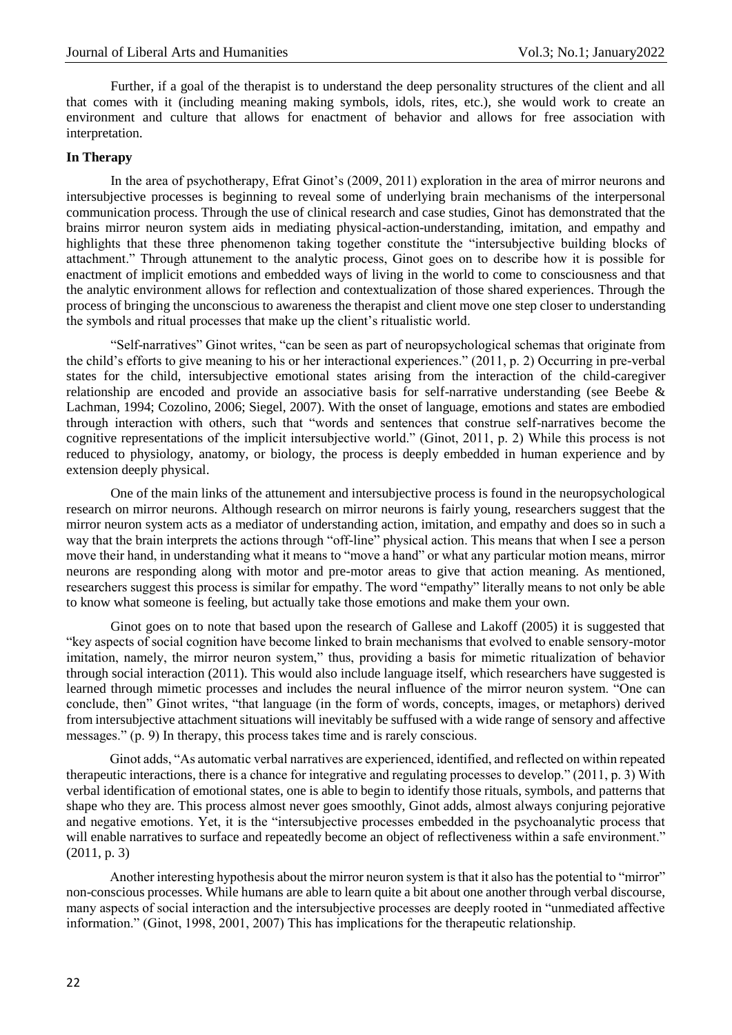Further, if a goal of the therapist is to understand the deep personality structures of the client and all that comes with it (including meaning making symbols, idols, rites, etc.), she would work to create an environment and culture that allows for enactment of behavior and allows for free association with interpretation.

#### **In Therapy**

In the area of psychotherapy, Efrat Ginot's (2009, 2011) exploration in the area of mirror neurons and intersubjective processes is beginning to reveal some of underlying brain mechanisms of the interpersonal communication process. Through the use of clinical research and case studies, Ginot has demonstrated that the brains mirror neuron system aids in mediating physical-action-understanding, imitation, and empathy and highlights that these three phenomenon taking together constitute the "intersubjective building blocks of attachment." Through attunement to the analytic process, Ginot goes on to describe how it is possible for enactment of implicit emotions and embedded ways of living in the world to come to consciousness and that the analytic environment allows for reflection and contextualization of those shared experiences. Through the process of bringing the unconscious to awareness the therapist and client move one step closer to understanding the symbols and ritual processes that make up the client's ritualistic world.

"Self-narratives" Ginot writes, "can be seen as part of neuropsychological schemas that originate from the child's efforts to give meaning to his or her interactional experiences." (2011, p. 2) Occurring in pre-verbal states for the child, intersubjective emotional states arising from the interaction of the child-caregiver relationship are encoded and provide an associative basis for self-narrative understanding (see Beebe & Lachman, 1994; Cozolino, 2006; Siegel, 2007). With the onset of language, emotions and states are embodied through interaction with others, such that "words and sentences that construe self-narratives become the cognitive representations of the implicit intersubjective world." (Ginot, 2011, p. 2) While this process is not reduced to physiology, anatomy, or biology, the process is deeply embedded in human experience and by extension deeply physical.

One of the main links of the attunement and intersubjective process is found in the neuropsychological research on mirror neurons. Although research on mirror neurons is fairly young, researchers suggest that the mirror neuron system acts as a mediator of understanding action, imitation, and empathy and does so in such a way that the brain interprets the actions through "off-line" physical action. This means that when I see a person move their hand, in understanding what it means to "move a hand" or what any particular motion means, mirror neurons are responding along with motor and pre-motor areas to give that action meaning. As mentioned, researchers suggest this process is similar for empathy. The word "empathy" literally means to not only be able to know what someone is feeling, but actually take those emotions and make them your own.

Ginot goes on to note that based upon the research of Gallese and Lakoff (2005) it is suggested that "key aspects of social cognition have become linked to brain mechanisms that evolved to enable sensory-motor imitation, namely, the mirror neuron system," thus, providing a basis for mimetic ritualization of behavior through social interaction (2011). This would also include language itself, which researchers have suggested is learned through mimetic processes and includes the neural influence of the mirror neuron system. "One can conclude, then" Ginot writes, "that language (in the form of words, concepts, images, or metaphors) derived from intersubjective attachment situations will inevitably be suffused with a wide range of sensory and affective messages." (p. 9) In therapy, this process takes time and is rarely conscious.

Ginot adds, "As automatic verbal narratives are experienced, identified, and reflected on within repeated therapeutic interactions, there is a chance for integrative and regulating processes to develop." (2011, p. 3) With verbal identification of emotional states, one is able to begin to identify those rituals, symbols, and patterns that shape who they are. This process almost never goes smoothly, Ginot adds, almost always conjuring pejorative and negative emotions. Yet, it is the "intersubjective processes embedded in the psychoanalytic process that will enable narratives to surface and repeatedly become an object of reflectiveness within a safe environment." (2011, p. 3)

Another interesting hypothesis about the mirror neuron system is that it also has the potential to "mirror" non-conscious processes. While humans are able to learn quite a bit about one another through verbal discourse, many aspects of social interaction and the intersubjective processes are deeply rooted in "unmediated affective information." (Ginot, 1998, 2001, 2007) This has implications for the therapeutic relationship.